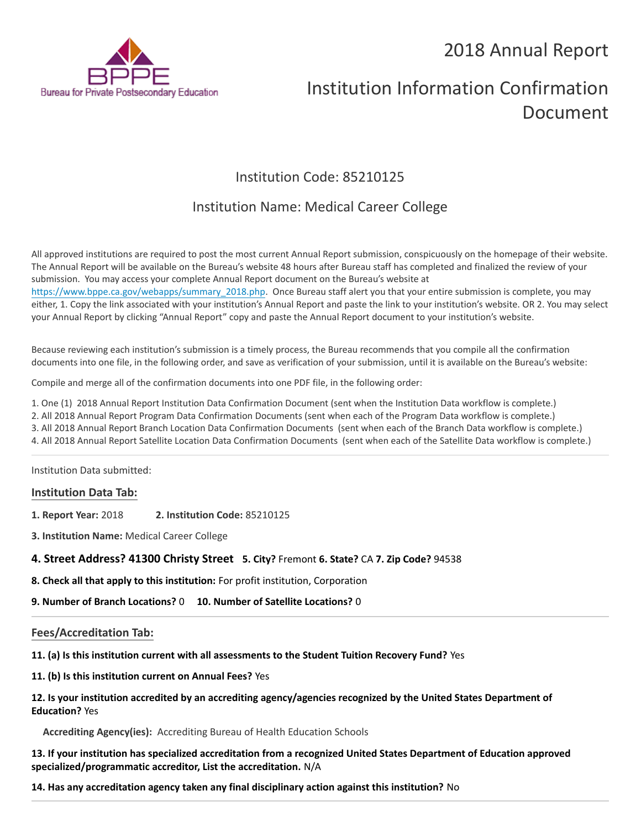# 2018 Annual Report



# Institution Information Confirmation Document

# Institution Code: 85210125

# Institution Name: Medical Career College

All approved institutions are required to post the most current Annual Report submission, conspicuously on the homepage of their website. The Annual Report will be available on the Bureau's website 48 hours after Bureau staff has completed and finalized the review of your submission. You may access your complete Annual Report document on the Bureau's website at [https://www.bppe.ca.gov/webapps/summary\\_2018.php.](https://www.bppe.ca.gov/webapps/summary_2018.php) Once Bureau staff alert you that your entire submission is complete, you may either, 1. Copy the link associated with your institution's Annual Report and paste the link to your institution's website. OR 2. You may select your Annual Report by clicking "Annual Report" copy and paste the Annual Report document to your institution's website.

Because reviewing each institution's submission is a timely process, the Bureau recommends that you compile all the confirmation documents into one file, in the following order, and save as verification of your submission, until it is available on the Bureau's website:

Compile and merge all of the confirmation documents into one PDF file, in the following order:

1. One (1) 2018 Annual Report Institution Data Confirmation Document (sent when the Institution Data workflow is complete.)

2. All 2018 Annual Report Program Data Confirmation Documents (sent when each of the Program Data workflow is complete.)

3. All 2018 Annual Report Branch Location Data Confirmation Documents (sent when each of the Branch Data workflow is complete.)

4. All 2018 Annual Report Satellite Location Data Confirmation Documents (sent when each of the Satellite Data workflow is complete.)

Institution Data submitted:

# **Institution Data Tab:**

**1. Report Year:** 2018 **2. Institution Code:** 85210125

**3. Institution Name:** Medical Career College

**4. Street Address? 41300 Christy Street 5. City?** Fremont **6. State?** CA **7. Zip Code?** 94538

**8. Check all that apply to this institution:** For profit institution, Corporation

**9. Number of Branch Locations?** 0 **10. Number of Satellite Locations?** 0

# **Fees/Accreditation Tab:**

**11. (a) Is this institution current with all assessments to the Student Tuition Recovery Fund?** Yes

**11. (b) Is this institution current on Annual Fees?** Yes

# **12. Is your institution accredited by an accrediting agency/agencies recognized by the United States Department of Education?** Yes

**Accrediting Agency(ies):** Accrediting Bureau of Health Education Schools

**13. If your institution has specialized accreditation from a recognized United States Department of Education approved specialized/programmatic accreditor, List the accreditation.** N/A

**14. Has any accreditation agency taken any final disciplinary action against this institution?** No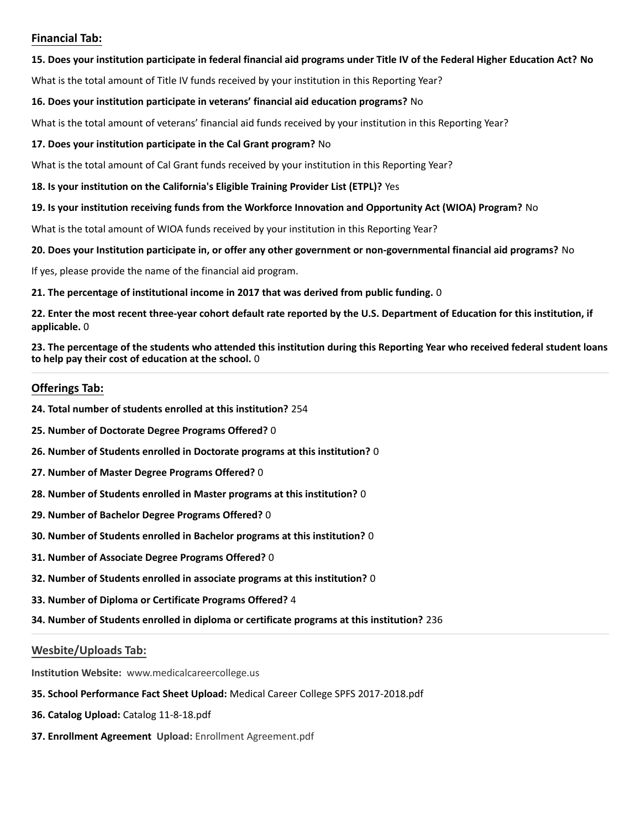# **Financial Tab:**

## **15. Does your institution participate in federal financial aid programs under Title IV of the Federal Higher Education Act? No**

What is the total amount of Title IV funds received by your institution in this Reporting Year?

## **16. Does your institution participate in veterans' financial aid education programs?** No

What is the total amount of veterans' financial aid funds received by your institution in this Reporting Year?

## **17. Does your institution participate in the Cal Grant program?** No

What is the total amount of Cal Grant funds received by your institution in this Reporting Year?

## **18. Is your institution on the California's Eligible Training Provider List (ETPL)?** Yes

## **19. Is your institution receiving funds from the Workforce Innovation and Opportunity Act (WIOA) Program?** No

What is the total amount of WIOA funds received by your institution in this Reporting Year?

## **20. Does your Institution participate in, or offer any other government or non-governmental financial aid programs?** No

If yes, please provide the name of the financial aid program.

## **21. The percentage of institutional income in 2017 that was derived from public funding.** 0

**22. Enter the most recent three-year cohort default rate reported by the U.S. Department of Education for this institution, if applicable.** 0

**23. The percentage of the students who attended this institution during this Reporting Year who received federal student loans to help pay their cost of education at the school.** 0

# **Offerings Tab:**

- **24. Total number of students enrolled at this institution?** 254
- **25. Number of Doctorate Degree Programs Offered?** 0
- **26. Number of Students enrolled in Doctorate programs at this institution?** 0
- **27. Number of Master Degree Programs Offered?** 0
- **28. Number of Students enrolled in Master programs at this institution?** 0
- **29. Number of Bachelor Degree Programs Offered?** 0
- **30. Number of Students enrolled in Bachelor programs at this institution?** 0
- **31. Number of Associate Degree Programs Offered?** 0
- **32. Number of Students enrolled in associate programs at this institution?** 0
- **33. Number of Diploma or Certificate Programs Offered?** 4
- **34. Number of Students enrolled in diploma or certificate programs at this institution?** 236

# **Wesbite/Uploads Tab:**

**Institution Website:**  www.medicalcareercollege.us

- **35. School Performance Fact Sheet Upload:** Medical Career College SPFS 2017-2018.pdf
- **36. Catalog Upload:** Catalog 11-8-18.pdf
- **37. Enrollment Agreement Upload:** Enrollment Agreement.pdf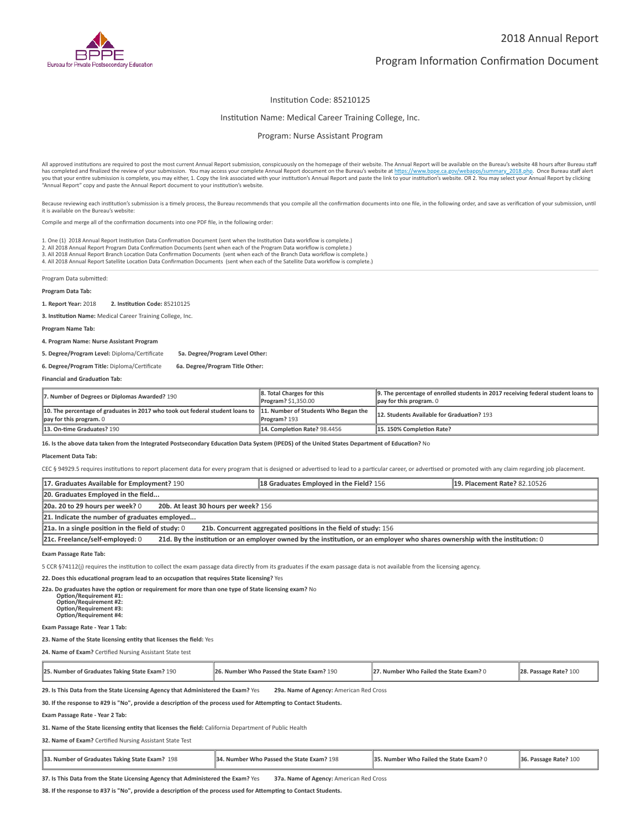

### Institution Code: 85210125

#### Institution Name: Medical Career Training College, Inc.

Program: Nurse Assistant Program

All approved institutions are required to post the most current Annual Report submission, conspicuously on the homepage of their website. The Annual Report will be available on the Bureau's website 48 hours after Bureau st you that your entire submission is complete, you may either, 1. Copy the link associated with your institution's Annual Report and paste the link to your institution's website. OR 2. You may select your Annual Report by cl

Because reviewing each institution's submission is a timely process, the Bureau recommends that you compile all the confirmation documents into one file, in the following order, and save as verification of your submission, it is available on the Bureau's website:

Compile and merge all of the confirmation documents into one PDF file, in the following order:

1. One (1) 2018 Annual Report Institution Data Confirmation Document (sent when the Institution Data workflow is complete.)

2. All 2018 Annual Report Program Data Confirmation Documents (sent when each of the Program Data workflow is complete.)<br>3. All 2018 Annual Report Branch Location Data Confirmation Documents (sent when each of the Branch

4. All 2018 Annual Report Satellite Location Data Confirmation Documents (sent when each of the Satellite Data workflow is complete.)

Program Data submitted:

#### **Program Data Tab:**

**1. Report Year:** 2018 **2. Instuon Code:** 85210125

**3. Institution Name:** Medical Career Training College, Inc.

**Program Name Tab:**

**4. Program Name: Nurse Assistant Program** 

**5. Degree/Program Level:** Diploma/Cerficate **5a. Degree/Program Level Other:**

**6. Degree/Program Title:** Diploma/Cerficate **6a. Degree/Program Title Other:**

**Financial and Graduation Tab:** 

| 7. Number of Degrees or Diplomas Awarded? 190                                                                                                 | 8. Total Charges for this<br>Program? \$1,350.00 | 9. The percentage of enrolled students in 2017 receiving federal student loans to<br>$\parallel$ pay for this program. 0 |
|-----------------------------------------------------------------------------------------------------------------------------------------------|--------------------------------------------------|--------------------------------------------------------------------------------------------------------------------------|
| 10. The percentage of graduates in 2017 who took out federal student loans to 11. Number of Students Who Began the<br>pay for this program. 0 | Program? 193                                     | 12. Students Available for Graduation? 193                                                                               |
| 13. On-time Graduates? 190                                                                                                                    | 14. Completion Rate? 98.4456                     | 15.150% Completion Rate?                                                                                                 |

16. Is the above data taken from the Integrated Postsecondary Education Data System (IPEDS) of the United States Department of Education? No

**Placement Data Tab:**

CEC § 94929.5 requires institutions to report placement data for every program that is designed or advertised to lead to a particular career, or advertised or promoted with any claim regarding job placement.

| 17. Graduates Available for Employment? 190                                                                                                                     | 18 Graduates Employed in the Field? 156 | <b>19. Placement Rate? 82.10526</b> |  |
|-----------------------------------------------------------------------------------------------------------------------------------------------------------------|-----------------------------------------|-------------------------------------|--|
| 20. Graduates Employed in the field                                                                                                                             |                                         |                                     |  |
| 20a. 20 to 29 hours per week? 0<br>20b. At least 30 hours per week? 156                                                                                         |                                         |                                     |  |
| 21. Indicate the number of graduates employed                                                                                                                   |                                         |                                     |  |
| $21a$ . In a single position in the field of study: 0<br>21b. Concurrent aggregated positions in the field of study: 156                                        |                                         |                                     |  |
| 21c. Freelance/self-employed: 0<br>21d. By the institution or an employer owned by the institution, or an employer who shares ownership with the institution: 0 |                                         |                                     |  |

**Exam Passage Rate Tab:**

5 CCR §74112(i) requires the institution to collect the exam passage data directly from its graduates if the exam passage data is not available from the licensing agency.

**22. Does this educational program lead to an occupation that requires State licensing?** Yes

**22a. Do graduates have the option or requirement for more than one type of State licensing exam?** No

 **Opon/Requirement #1: Opon/Requirement #2: Opon/Requirement #3: Opon/Requirement #4:**

#### **Exam Passage Rate - Year 1 Tab:**

23. Name of the State licensing entity that licenses the field: Yes

24. Name of Exam? Certified Nursing Assistant State test

| 25. Number of Graduates Taking State Exam? 190 | 26. Number Who Passed the State Exam? 190 | 27. Number Who Failed the State Exam? 0 | 28. Passage Rate? 100 |
|------------------------------------------------|-------------------------------------------|-----------------------------------------|-----------------------|
|------------------------------------------------|-------------------------------------------|-----------------------------------------|-----------------------|

**29. Is This Data from the State Licensing Agency that Administered the Exam?** Yes **29a. Name of Agency:** American Red Cross

30. If the response to #29 is "No", provide a description of the process used for Attempting to Contact Students.

**Exam Passage Rate - Year 2 Tab:**

31. Name of the State licensing entity that licenses the field: California Department of Public Health

**32. Name of Exam?** Certified Nursing Assistant State Test

| 12 198<br>33. Number of Graduates Taking State Exam? | 34. Number Who Passed the State Exam? 198 | <b>35. Number Who Failed the State Exam? 0</b> | $\vert$ 36. Passage Rate? 100 |  |
|------------------------------------------------------|-------------------------------------------|------------------------------------------------|-------------------------------|--|
|------------------------------------------------------|-------------------------------------------|------------------------------------------------|-------------------------------|--|

**37. Is This Data from the State Licensing Agency that Administered the Exam?** Yes **37a. Name of Agency:** American Red Cross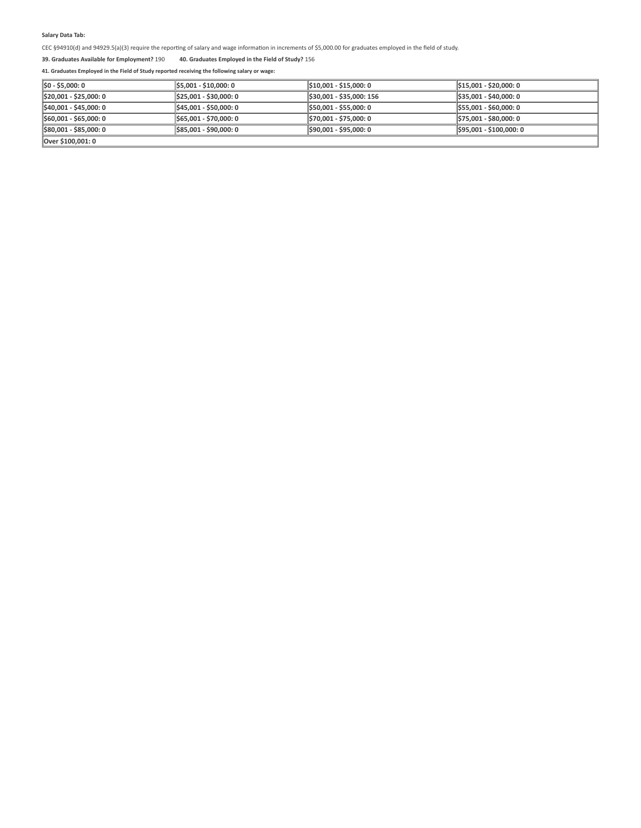$CEC$  §94910(d) and 94929.5(a)(3) require the reporting of salary and wage information in increments of \$5,000.00 for graduates employed in the field of study.

**39. Graduates Available for Employment?** 190 **40. Graduates Employed in the Field of Study?** 156

| $\ $ \$0 - \$5,000: 0              | \$5,001 - \$10,000: 0   | \$10.001 - \$15.000: 0   | $\frac{1515,001 - $20,000:0}{}$ |
|------------------------------------|-------------------------|--------------------------|---------------------------------|
| $\parallel$ \$20,001 - \$25,000: 0 | 1,925,001 - \$30,000: 0 | \$30,001 - \$35,000: 156 | $\frac{1535,001 - $40,000:0}{}$ |
| S40,001 - \$45,000: 0              | 1\$45,001 - \$50,000: 0 | S50.001 - \$55.000: 0    | $\frac{1555,001 - $60,000:0}{}$ |
| $\parallel$ \$60,001 - \$65,000: 0 | 1\$65,001 - \$70,000: 0 | S70.001 - \$75.000: 0    | $\frac{1575,001 - $80,000:0}{}$ |
| \$80,001 - \$85,000: 0             | 1,885,001 - \$90,000: 0 | \$90.001 - \$95.000: 0   | \$95,001 - \$100,000: 0         |
| Over \$100,001: 0                  |                         |                          |                                 |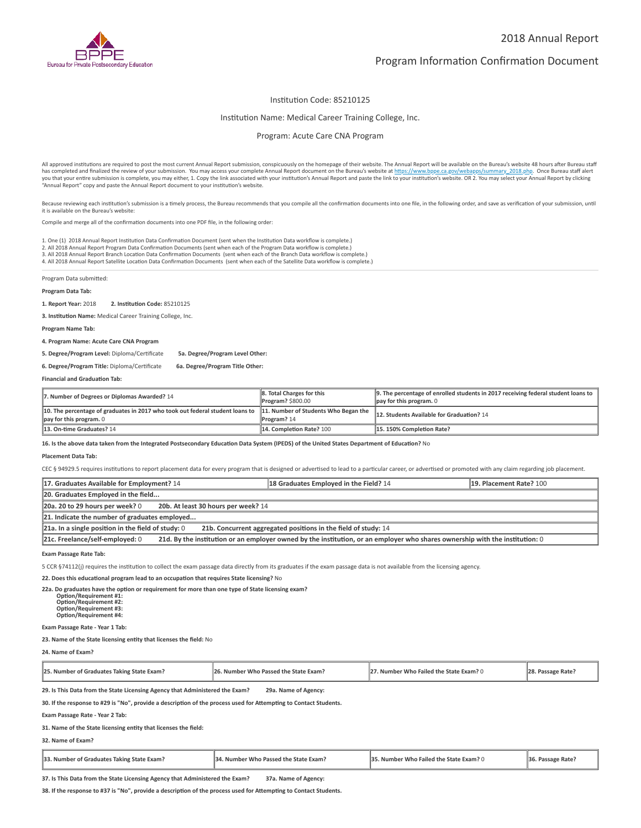

### Institution Code: 85210125

## Institution Name: Medical Career Training College, Inc.

Program: Acute Care CNA Program

All approved institutions are required to post the most current Annual Report submission, conspicuously on the homepage of their website. The Annual Report will be available on the Bureau's website 48 hours after Bureau st you that your entire submission is complete, you may either, 1. Copy the link associated with your institution's Annual Report and paste the link to your institution's website. OR 2. You may select your Annual Report by cl

Because reviewing each institution's submission is a timely process, the Bureau recommends that you compile all the confirmation documents into one file, in the following order, and save as verification of your submission, it is available on the Bureau's website:

Compile and merge all of the confirmation documents into one PDF file, in the following order:

1. One (1) 2018 Annual Report Institution Data Confirmation Document (sent when the Institution Data workflow is complete.)

2. All 2018 Annual Report Program Data Confirmation Documents (sent when each of the Program Data workflow is complete.)<br>3. All 2018 Annual Report Branch Location Data Confirmation Documents (sent when each of the Branch

4. All 2018 Annual Report Satellite Location Data Confirmation Documents (sent when each of the Satellite Data workflow is complete.)

Program Data submitted:

#### **Program Data Tab:**

**1. Report Year:** 2018 **2. Instuon Code:** 85210125

**3. Institution Name:** Medical Career Training College, Inc.

**Program Name Tab:**

**4. Program Name: Acute Care CNA Program** 

**5. Degree/Program Level:** Diploma/Cerficate **5a. Degree/Program Level Other:**

**6. Degree/Program Title:** Diploma/Cerficate **6a. Degree/Program Title Other:**

**Financial and Graduation Tab:** 

| 7. Number of Degrees or Diplomas Awarded? 14                                                                                                       | 8. Total Charges for this<br><b>Program? \$800.00</b> | $\parallel$ 9. The percentage of enrolled students in 2017 receiving federal student loans to $\parallel$<br>$\parallel$ pay for this program. 0 |
|----------------------------------------------------------------------------------------------------------------------------------------------------|-------------------------------------------------------|--------------------------------------------------------------------------------------------------------------------------------------------------|
| 10. The percentage of graduates in 2017 who took out federal student loans to $\,$ 11. Number of Students Who Began the<br>pay for this program. 0 | Program? 14                                           | 12. Students Available for Graduation? 14                                                                                                        |
| 13. On-time Graduates? 14                                                                                                                          | 14. Completion Rate? 100                              | 15.150% Completion Rate?                                                                                                                         |

16. Is the above data taken from the Integrated Postsecondary Education Data System (IPEDS) of the United States Department of Education? No

**Placement Data Tab:**

CEC § 94929.5 requires institutions to report placement data for every program that is designed or advertised to lead to a particular career, or advertised or promoted with any claim regarding job placement.

| 17. Graduates Available for Employment? 14                                                                                                                      | 18 Graduates Employed in the Field? 14 | 19. Placement Rate? 100 |  |
|-----------------------------------------------------------------------------------------------------------------------------------------------------------------|----------------------------------------|-------------------------|--|
| 20. Graduates Employed in the field                                                                                                                             |                                        |                         |  |
| 20a. 20 to 29 hours per week? 0<br>20b. At least 30 hours per week? 14                                                                                          |                                        |                         |  |
| 21. Indicate the number of graduates employed                                                                                                                   |                                        |                         |  |
| $21a$ . In a single position in the field of study: 0<br>21b. Concurrent aggregated positions in the field of study: 14                                         |                                        |                         |  |
| 21d. By the institution or an employer owned by the institution, or an employer who shares ownership with the institution: 0<br>21c. Freelance/self-employed: 0 |                                        |                         |  |

**Exam Passage Rate Tab:**

5 CCR §74112(j) requires the institution to collect the exam passage data directly from its graduates if the exam passage data is not available from the licensing agency.

**22. Does this educational program lead to an occupation that requires State licensing?** No

22a. Do graduates have the option or requirement for more than one type of State licensing exam?

 **Opon/Requirement #1: Opon/Requirement #2: Opon/Requirement #3: Opon/Requirement #4:**

#### **Exam Passage Rate - Year 1 Tab:**

23. Name of the State licensing entity that licenses the field: No

**24. Name of Exam?**

| 25. Number of Graduates Taking State Exam? | 26. Number Who Passed the State Exam? | 27. Number Who Failed the State Exam? 0 | Passage Rate: |
|--------------------------------------------|---------------------------------------|-----------------------------------------|---------------|
|                                            |                                       |                                         |               |

**29. Is This Data from the State Licensing Agency that Administered the Exam? 29a. Name of Agency:**

30. If the response to #29 is "No", provide a description of the process used for Attempting to Contact Students.

**Exam Passage Rate - Year 2 Tab:**

**31. Name of the State licensing enty that licenses the field:**

**32. Name of Exam?**

| 33. Number of Graduates Taking State Exam? | 34. Number Who Passed the State Exam? | 35. Number Who Failed the State Exam? 0 | 36. Passage Rate? |
|--------------------------------------------|---------------------------------------|-----------------------------------------|-------------------|
|--------------------------------------------|---------------------------------------|-----------------------------------------|-------------------|

**37. Is This Data from the State Licensing Agency that Administered the Exam? 37a. Name of Agency:**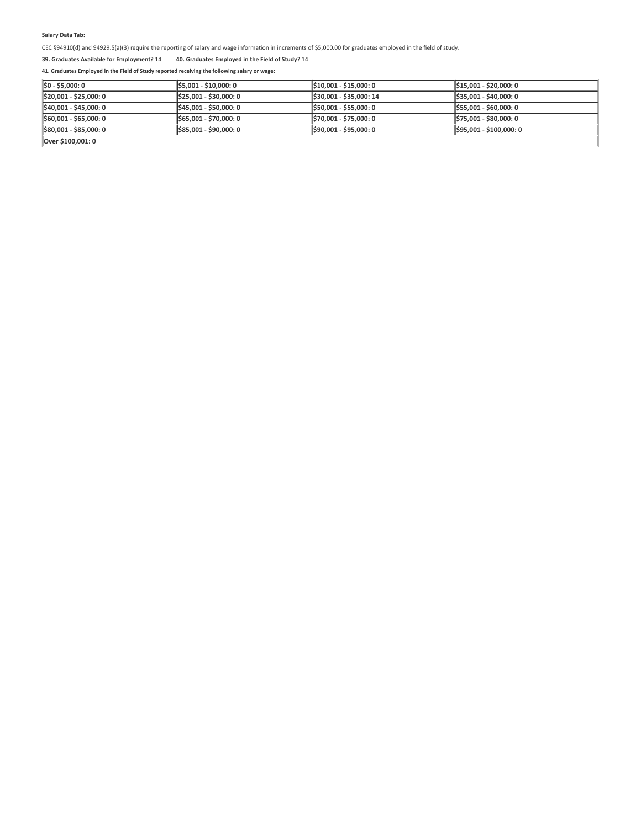$CEC$  §94910(d) and 94929.5(a)(3) require the reporting of salary and wage information in increments of \$5,000.00 for graduates employed in the field of study.

## **39. Graduates Available for Employment?** 14 **40. Graduates Employed in the Field of Study?** 14

| SO - \$5,000: 0                     | \$5,001 - \$10,000: 0   | S10.001 - \$15.000: 0   | $\parallel$ \$15.001 - \$20.000: 0  |
|-------------------------------------|-------------------------|-------------------------|-------------------------------------|
| $\parallel$ \$20,001 - \$25,000: 0  | \$25,001 - \$30,000: 0  | \$30,001 - \$35,000: 14 | $\frac{1}{2}$ \$35,001 - \$40,000:0 |
| \$40,001 - \$45,000: 0              | 1\$45,001 - \$50,000: 0 | 1\$50,001 - \$55,000: 0 | \$55,001 - \$60,000: 0              |
| $\frac{1560,001 - 565,000}{0}$      | \$65,001 - \$70,000: 0  | 1,970,001 - \$75,000: 0 | \$75,001 - \$80,000: 0              |
| $\frac{1}{2}$ \$80,001 - \$85,000:0 | \$85,001 - \$90,000: 0  | S90.001 - \$95.000: 0   | S95.001 - \$100.000: 0              |
| Over \$100,001: 0                   |                         |                         |                                     |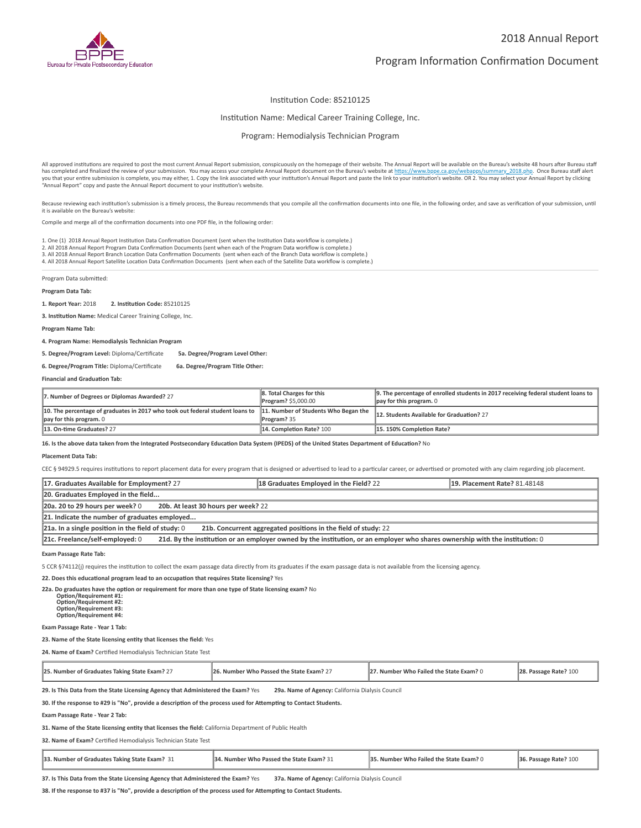

### Institution Code: 85210125

#### Institution Name: Medical Career Training College, Inc.

Program: Hemodialysis Technician Program

All approved institutions are required to post the most current Annual Report submission, conspicuously on the homepage of their website. The Annual Report will be available on the Bureau's website 48 hours after Bureau st you that your entire submission is complete, you may either, 1. Copy the link associated with your institution's Annual Report and paste the link to your institution's website. OR 2. You may select your Annual Report by cl "Annual Report" copy and paste the Annual Report document to your institution's website.

Because reviewing each institution's submission is a timely process, the Bureau recommends that you compile all the confirmation documents into one file, in the following order, and save as verification of your submission, it is available on the Bureau's website:

Compile and merge all of the confirmation documents into one PDF file, in the following order:

1. One (1) 2018 Annual Report Institution Data Confirmation Document (sent when the Institution Data workflow is complete.)

2. All 2018 Annual Report Program Data Confirmation Documents (sent when each of the Program Data workflow is complete.)<br>3. All 2018 Annual Report Branch Location Data Confirmation Documents (sent when each of the Branch

4. All 2018 Annual Report Satellite Location Data Confirmation Documents (sent when each of the Satellite Data workflow is complete.)

Program Data submitted:

#### **Program Data Tab:**

**1. Report Year:** 2018 **2. Instuon Code:** 85210125

**3. Institution Name:** Medical Career Training College, Inc.

**Program Name Tab:**

**4. Program Name: Hemodialysis Technician Program** 

**5. Degree/Program Level:** Diploma/Cerficate **5a. Degree/Program Level Other:**

**6. Degree/Program Title:** Diploma/Cerficate **6a. Degree/Program Title Other:**

**Financial and Graduation Tab:** 

| 7. Number of Degrees or Diplomas Awarded? 27                                                                                                                   | 8. Total Charges for this<br>Program? \$5,000.00 | 9. The percentage of enrolled students in 2017 receiving federal student loans to<br>$\parallel$ pay for this program. 0 |
|----------------------------------------------------------------------------------------------------------------------------------------------------------------|--------------------------------------------------|--------------------------------------------------------------------------------------------------------------------------|
| 10. The percentage of graduates in 2017 who took out federal student loans to $\,$ 11. Number of Students Who Began the<br>$\parallel$ pay for this program. 0 | Program? 35                                      | 12. Students Available for Graduation? 27                                                                                |
| 13. On-time Graduates? 27                                                                                                                                      | 14. Completion Rate? 100                         | 15.150% Completion Rate?                                                                                                 |

16. Is the above data taken from the Integrated Postsecondary Education Data System (IPEDS) of the United States Department of Education? No

**Placement Data Tab:**

CEC § 94929.5 requires institutions to report placement data for every program that is designed or advertised to lead to a particular career, or advertised or promoted with any claim regarding job placement.

| 17. Graduates Available for Employment? 27                                                                                                                      | 18 Graduates Employed in the Field? 22 | <b>19. Placement Rate? 81.48148</b> |  |
|-----------------------------------------------------------------------------------------------------------------------------------------------------------------|----------------------------------------|-------------------------------------|--|
| 20. Graduates Employed in the field                                                                                                                             |                                        |                                     |  |
| 20a. 20 to 29 hours per week? 0<br>20b. At least 30 hours per week? 22                                                                                          |                                        |                                     |  |
| 21. Indicate the number of graduates employed                                                                                                                   |                                        |                                     |  |
| $21a$ . In a single position in the field of study: 0<br>21b. Concurrent aggregated positions in the field of study: 22                                         |                                        |                                     |  |
| 21c. Freelance/self-employed: 0<br>21d. By the institution or an employer owned by the institution, or an employer who shares ownership with the institution: 0 |                                        |                                     |  |

**Exam Passage Rate Tab:**

5 CCR §74112(i) requires the institution to collect the exam passage data directly from its graduates if the exam passage data is not available from the licensing agency.

**22. Does this educational program lead to an occupation that requires State licensing?** Yes

**22a. Do graduates have the option or requirement for more than one type of State licensing exam?** No

 **Opon/Requirement #1: Opon/Requirement #2: Opon/Requirement #3: Opon/Requirement #4:**

#### **Exam Passage Rate - Year 1 Tab:**

23. Name of the State licensing entity that licenses the field: Yes

24. Name of Exam? Certified Hemodialysis Technician State Test

| 25. Number of Graduates Taking State Exam? 27 | 26. Number Who Passed the State Exam? 2 | 27. Number Who Failed the State Exam? 0 | 28. Passage Rate? 100 |
|-----------------------------------------------|-----------------------------------------|-----------------------------------------|-----------------------|
|-----------------------------------------------|-----------------------------------------|-----------------------------------------|-----------------------|

**29. Is This Data from the State Licensing Agency that Administered the Exam?** Yes **29a. Name of Agency:** California Dialysis Council

30. If the response to #29 is "No", provide a description of the process used for Attempting to Contact Students.

**Exam Passage Rate - Year 2 Tab:**

31. Name of the State licensing entity that licenses the field: California Department of Public Health

**32. Name of Exam?** Cerfied Hemodialysis Technician State Test

| 133.<br>. Number of Graduates Taking State Exam? | 134.<br>. Number Who Passed the State Exam? 31 | <b>1853</b><br>35.<br><b>Failed the State Exam? 0</b><br>Number<br>wno | Passage Rate? 100<br>36. |
|--------------------------------------------------|------------------------------------------------|------------------------------------------------------------------------|--------------------------|
|--------------------------------------------------|------------------------------------------------|------------------------------------------------------------------------|--------------------------|

**37. Is This Data from the State Licensing Agency that Administered the Exam?** Yes **37a. Name of Agency:** California Dialysis Council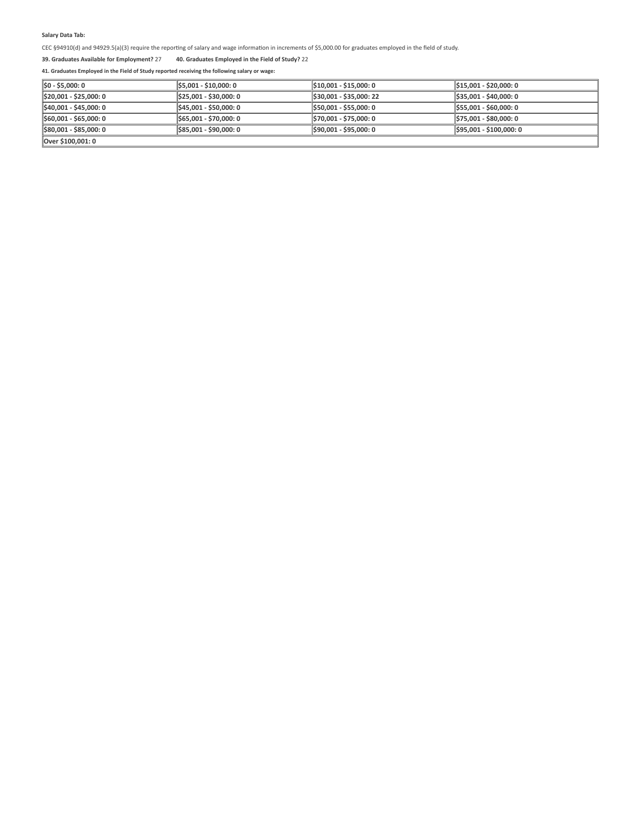$CEC$  §94910(d) and 94929.5(a)(3) require the reporting of salary and wage information in increments of \$5,000.00 for graduates employed in the field of study.

## **39. Graduates Available for Employment?** 27 **40. Graduates Employed in the Field of Study?** 22

| $\ $ \$0 - \$5,000: 0              | \$5,001 - \$10,000: 0  | \$10,001 - \$15,000: 0  | S15.001 - \$20.000: 0           |
|------------------------------------|------------------------|-------------------------|---------------------------------|
| $\parallel$ \$20,001 - \$25,000: 0 | \$25,001 - \$30,000: 0 | \$30,001 - \$35,000: 22 | $\frac{1535,001 - $40,000}{0}$  |
| \$40,001 - \$45,000: 0             | \$45,001 - \$50,000: 0 | \$50,001 - \$55,000: 0  | $\frac{1555,001 - $60,000}{0}$  |
| $\frac{1560,001 - 565,000}{0}$     | \$65,001 - \$70,000: 0 | \$70,001 - \$75,000: 0  | 575,001 - \$80,000: 0           |
| \$80,001 - \$85,000: 0             | S85.001 - \$90.000: 0  | \$90,001 - \$95,000: 0  | $\frac{1595,001 - $100,000}{0}$ |
| Over \$100,001: 0                  |                        |                         |                                 |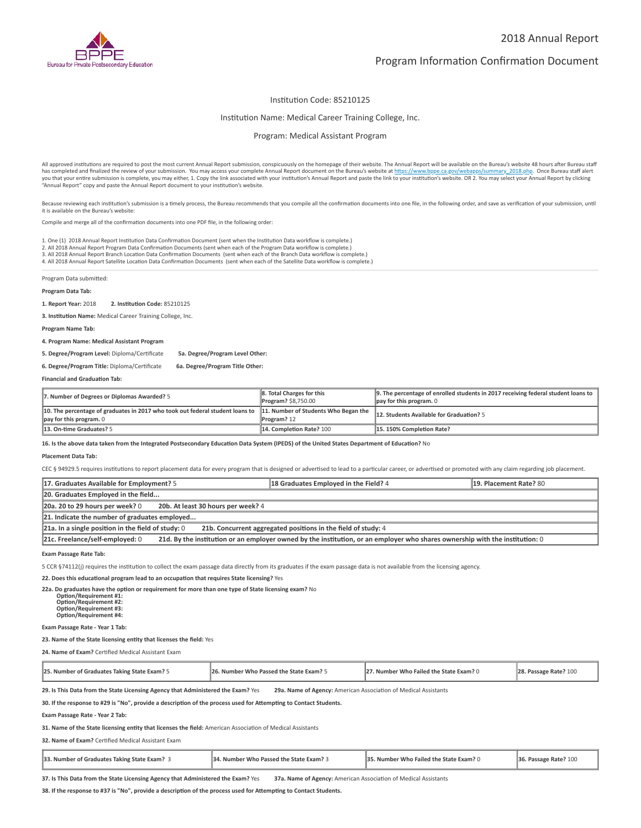

### Institution Code: 85210125

#### Institution Name: Medical Career Training College, Inc.

Program: Medical Assistant Program

All approved institutions are required to post the most current Annual Report submission, conspicuously on the homepage of their website. The Annual Report will be available on the Bureau's website 48 hours after Bureau st you that your entire submission is complete, you may either, 1. Copy the link associated with your institution's Annual Report and paste the link to your institution's website. OR 2. You may select your Annual Report by cl "Annual Report" copy and paste the Annual Report document to your institution's website.

Because reviewing each institution's submission is a timely process, the Bureau recommends that you compile all the confirmation documents into one file, in the following order, and save as verification of your submission, it is available on the Bureau's website:

Compile and merge all of the confirmation documents into one PDF file, in the following order:

1. One (1) 2018 Annual Report Institution Data Confirmation Document (sent when the Institution Data workflow is complete.)

2. All 2018 Annual Report Program Data Confirmation Documents (sent when each of the Program Data workflow is complete.)<br>3. All 2018 Annual Report Branch Location Data Confirmation Documents (sent when each of the Branch

4. All 2018 Annual Report Satellite Location Data Confirmation Documents (sent when each of the Satellite Data workflow is complete.)

Program Data submitted:

#### **Program Data Tab:**

**1. Report Year:** 2018 **2. Instuon Code:** 85210125

**3. Institution Name:** Medical Career Training College, Inc.

**Program Name Tab:**

**4. Program Name: Medical Assistant Program** 

**5. Degree/Program Level:** Diploma/Cerficate **5a. Degree/Program Level Other:**

**6. Degree/Program Title:** Diploma/Cerficate **6a. Degree/Program Title Other:**

**Financial and Graduation Tab:** 

| 7. Number of Degrees or Diplomas Awarded? 5                                                                                                   | 8. Total Charges for this<br><b>Program? \$8,750.00</b> | $\parallel$ 9. The percentage of enrolled students in 2017 receiving federal student loans to $\parallel$<br>$\parallel$ pay for this program. 0 |
|-----------------------------------------------------------------------------------------------------------------------------------------------|---------------------------------------------------------|--------------------------------------------------------------------------------------------------------------------------------------------------|
| 10. The percentage of graduates in 2017 who took out federal student loans to 11. Number of Students Who Began the<br>pay for this program. 0 | Program? 12                                             | 12. Students Available for Graduation? 5                                                                                                         |
| 13. On-time Graduates? 5                                                                                                                      | 14. Completion Rate? 100                                | 15.150% Completion Rate?                                                                                                                         |

16. Is the above data taken from the Integrated Postsecondary Education Data System (IPEDS) of the United States Department of Education? No

**Placement Data Tab:**

CEC § 94929.5 requires institutions to report placement data for every program that is designed or advertised to lead to a particular career, or advertised or promoted with any claim regarding job placement.

| 17. Graduates Available for Employment? 5                                                                                                                       | 18 Graduates Employed in the Field? 4 | 19. Placement Rate? 80 |
|-----------------------------------------------------------------------------------------------------------------------------------------------------------------|---------------------------------------|------------------------|
| 20. Graduates Employed in the field                                                                                                                             |                                       |                        |
| 20a. 20 to 29 hours per week? 0<br>20b. At least 30 hours per week? 4                                                                                           |                                       |                        |
| 21. Indicate the number of graduates employed                                                                                                                   |                                       |                        |
| $21a$ . In a single position in the field of study: 0<br>21b. Concurrent aggregated positions in the field of study: 4                                          |                                       |                        |
| 21c. Freelance/self-employed: 0<br>21d. By the institution or an employer owned by the institution, or an employer who shares ownership with the institution: 0 |                                       |                        |

**Exam Passage Rate Tab:**

5 CCR §74112(i) requires the institution to collect the exam passage data directly from its graduates if the exam passage data is not available from the licensing agency.

**22. Does this educational program lead to an occupation that requires State licensing?** Yes

**22a. Do graduates have the option or requirement for more than one type of State licensing exam?** No

 **Opon/Requirement #1: Opon/Requirement #2: Opon/Requirement #3: Opon/Requirement #4:**

#### **Exam Passage Rate - Year 1 Tab:**

23. Name of the State licensing entity that licenses the field: Yes

**24. Name of Exam?** Cerfied Medical Assistant Exam

| 25. Number of Graduates Taking State Exam? 5 | 26. Number Who Passed the State Exam? 5 | 27. Number Who Failed the State Exam? 0 | 28. Passage Rate? 100 |
|----------------------------------------------|-----------------------------------------|-----------------------------------------|-----------------------|
|----------------------------------------------|-----------------------------------------|-----------------------------------------|-----------------------|

29. Is This Data from the State Licensing Agency that Administered the Exam? Yes 29a. Name of Agency: American Association of Medical Assistants

30. If the response to #29 is "No", provide a description of the process used for Attempting to Contact Students.

**Exam Passage Rate - Year 2 Tab:**

31. Name of the State licensing entity that licenses the field: American Association of Medical Assistants

**32. Name of Exam?** Cerfied Medical Assistant Exam

| 33. Number of Graduates Taking State Exam? 3 | <b>34. Number Who Passed the State Exam?</b> | <b>35. Number Who Failed the State Exam? 0</b> | $\vert$ 36. Passage Rate? 100 |  |
|----------------------------------------------|----------------------------------------------|------------------------------------------------|-------------------------------|--|
|                                              |                                              |                                                |                               |  |

37. Is This Data from the State Licensing Agency that Administered the Exam? Yes 37a. Name of Agency: American Association of Medical Assistants